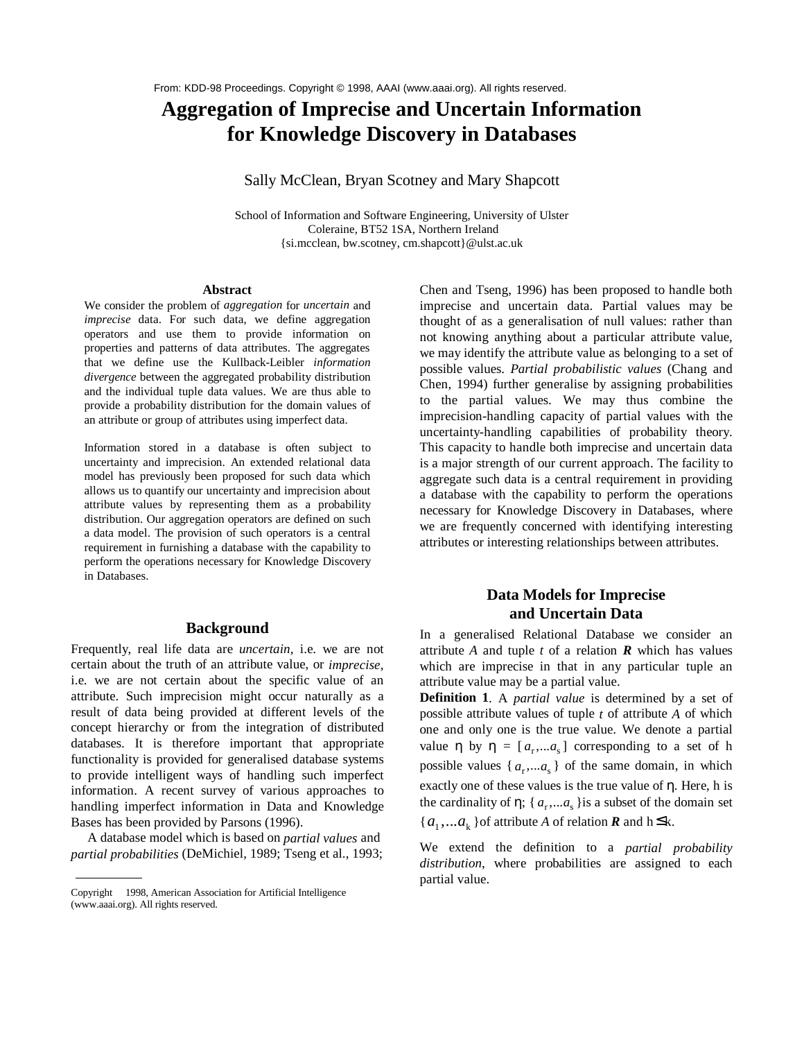# **Aggregation of Imprecise and Uncertain Information for Knowledge Discovery in Databases**

# Sally McClean, Bryan Scotney and Mary Shapcott

School of Information and Software Engineering, University of Ulster Coleraine, BT52 1SA, Northern Ireland {si.mcclean, bw.scotney, cm.shapcott}@ulst.ac.uk

#### **Abstract**

We consider the problem of *aggregation* for *uncertain* and *imprecise* data. For such data, we define aggregation operators and use them to provide information on properties and patterns of data attributes. The aggregates that we define use the Kullback-Leibler *information divergence* between the aggregated probability distribution and the individual tuple data values. We are thus able to provide a probability distribution for the domain values of an attribute or group of attributes using imperfect data.

Information stored in a database is often subject to uncertainty and imprecision. An extended relational data model has previously been proposed for such data which allows us to quantify our uncertainty and imprecision about attribute values by representing them as a probability distribution. Our aggregation operators are defined on such a data model. The provision of such operators is a central requirement in furnishing a database with the capability to perform the operations necessary for Knowledge Discovery in Databases.

# **Background**

Frequently, real life data are *uncertain,* i.e. we are not certain about the truth of an attribute value, or *imprecise,* i.e. we are not certain about the specific value of an attribute. Such imprecision might occur naturally as a result of data being provided at different levels of the concept hierarchy or from the integration of distributed databases. It is therefore important that appropriate functionality is provided for generalised database systems to provide intelligent ways of handling such imperfect information. A recent survey of various approaches to handling imperfect information in Data and Knowledge Bases has been provided by Parsons (1996).

 A database model which is based on *partial values* and *partial probabilities* (DeMichiel, 1989; Tseng et al., 1993; Chen and Tseng, 1996) has been proposed to handle both imprecise and uncertain data. Partial values may be thought of as a generalisation of null values: rather than not knowing anything about a particular attribute value, we may identify the attribute value as belonging to a set of possible values. *Partial probabilistic values* (Chang and Chen, 1994) further generalise by assigning probabilities to the partial values. We may thus combine the imprecision-handling capacity of partial values with the uncertainty-handling capabilities of probability theory. This capacity to handle both imprecise and uncertain data is a major strength of our current approach. The facility to aggregate such data is a central requirement in providing a database with the capability to perform the operations necessary for Knowledge Discovery in Databases, where we are frequently concerned with identifying interesting attributes or interesting relationships between attributes.

# **Data Models for Imprecise and Uncertain Data**

In a generalised Relational Database we consider an attribute  $A$  and tuple  $t$  of a relation  $R$  which has values which are imprecise in that in any particular tuple an attribute value may be a partial value.

**Definition 1**. A *partial value* is determined by a set of possible attribute values of tuple *t* of attribute *A* of which one and only one is the true value. We denote a partial value  $\eta$  by  $\eta = [a_r, a_s]$  corresponding to a set of h possible values  $\{a_r, a_s\}$  of the same domain, in which exactly one of these values is the true value of  $\eta$ . Here, h is the cardinality of  $\eta$ ; {  $a_r$ ,... $a_s$ } is a subset of the domain set  ${a_1,...a_k}$  of attribute *A* of relation *R* and h  $\leq$ k.

We extend the definition to a *partial probability distribution*, where probabilities are assigned to each partial value.

Copyright © 1998, American Association for Artificial Intelligence (www.aaai.org). All rights reserved.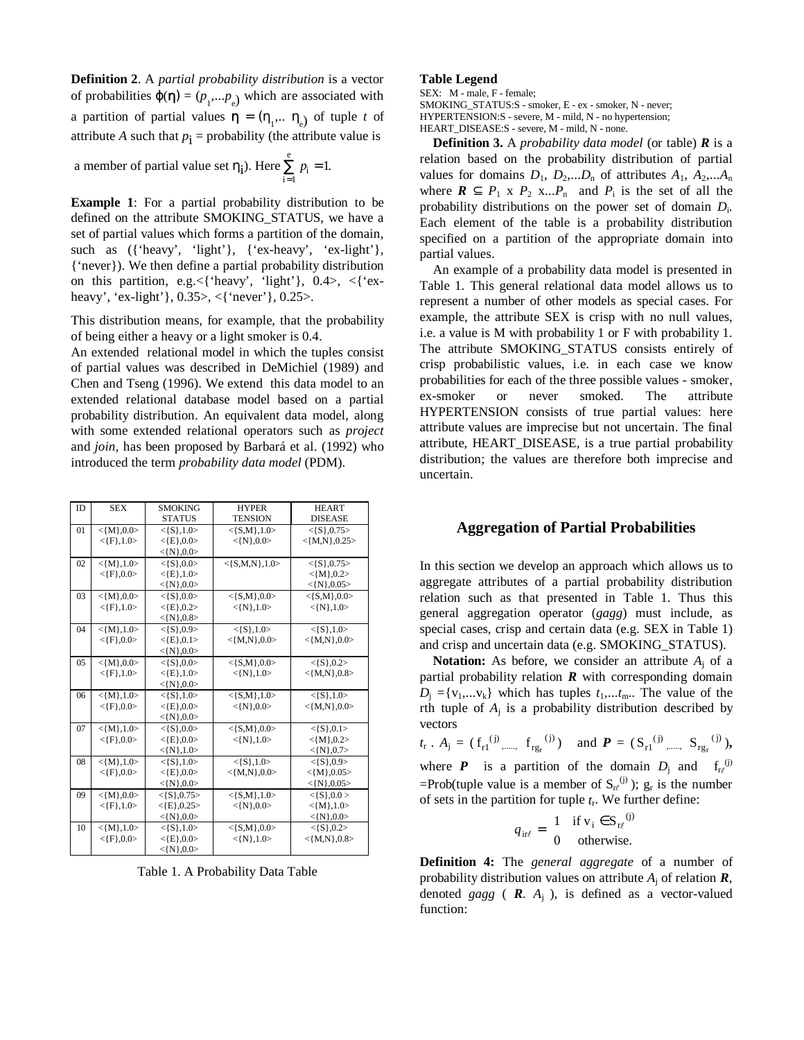**Definition 2**. A *partial probability distribution* is a vector of probabilities  $\varphi(\eta) = (p_1,...p_e)$  which are associated with a partition of partial values  $\boldsymbol{\eta} = (\eta_1, \dots \eta_e)$  of tuple *t* of attribute *A* such that  $p_i$  = probability (the attribute value is

a member of partial value set  $\eta_i$ ). Here  $\sum_{i=1}^n p_i = 1$ . e *p*  $\sum_{i=1} p_i =$ 1

**Example 1**: For a partial probability distribution to be defined on the attribute SMOKING\_STATUS, we have a set of partial values which forms a partition of the domain, such as ({'heavy', 'light'}, {'ex-heavy', 'ex-light'}, {'never}). We then define a partial probability distribution on this partition, e.g.  $\leq$  'heavy', 'light' }, 0.4>,  $\leq$  'exheavy', 'ex-light'}, 0.35>, <{'never'}, 0.25>.

This distribution means, for example, that the probability of being either a heavy or a light smoker is 0.4.

An extended relational model in which the tuples consist of partial values was described in DeMichiel (1989) and Chen and Tseng (1996). We extend this data model to an extended relational database model based on a partial probability distribution. An equivalent data model, along with some extended relational operators such as *project* and *join,* has been proposed by Barbará et al. (1992) who introduced the term *probability data model* (PDM).

| <b>ID</b> | <b>SEX</b>   | <b>SMOKING</b> | <b>HYPER</b>     | <b>HEART</b>    |
|-----------|--------------|----------------|------------------|-----------------|
|           |              | <b>STATUS</b>  | <b>TENSION</b>   | <b>DISEASE</b>  |
| 01        | $<$ {M},0.0> | $<$ {S},1.0>   | $<$ {S,M},1.0>   | $<$ {S},0.75 >  |
|           | $<$ {F},1.0> | $<$ {E},0.0>   | $<$ {N},0.0>     | $<$ {M,N},0.25> |
|           |              | $<$ {N},0.0>   |                  |                 |
| 02        | $<$ {M},1.0> | $<$ {S},0.0>   | $<$ {S,M,N},1.0> | $<$ {S},0.75 >  |
|           | $<$ {F},0.0> | $<$ {E},1.0>   |                  | $<$ {M},0.2>    |
|           |              | $<$ {N},0.0>   |                  | $<$ {N},0.05>   |
| 03        | $<$ {M},0.0> | $<$ {S},0.0>   | $<$ {S,M},0.0>   | $<$ {S,M},0.0>  |
|           | $<$ {F},1.0> | $<$ {E},0.2>   | $<$ {N},1.0>     | $<$ {N},1.0>    |
|           |              | $<$ {N},0.8>   |                  |                 |
| 04        | $<$ {M},1.0> | $<$ {S},0.9>   | $<$ {S},1.0>     | $<$ {S},1.0>    |
|           | $<$ {F},0.0> | $<$ {E},0.1>   | $<$ {M,N},0.0>   | $<$ {M,N},0.0>  |
|           |              | $<$ {N},0.0>   |                  |                 |
| 05        | $<$ {M},0.0> | $<$ {S},0.0>   | $<$ {S,M},0.0>   | $<$ {S},0.2>    |
|           | $<$ {F},1.0> | $<$ {E},1.0>   | $<$ {N},1.0>     | $<$ {M,N},0.8>  |
|           |              | $<$ {N},0.0>   |                  |                 |
| 06        | $<$ {M},1.0> | $<$ {S},1.0>   | $<$ {S,M},1.0>   | $<$ {S},1.0>    |
|           | $<$ {F},0.0> | $<$ {E},0.0>   | $<$ {N},0.0>     | $<$ {M,N},0.0>  |
|           |              | $<$ {N},0.0>   |                  |                 |
| 07        | $<$ {M},1.0> | $<$ {S},0.0>   | $<$ {S,M},0.0>   | $<$ {S},0.1>    |
|           | $<$ {F},0.0> | $<$ {E},0.0>   | $<$ {N},1.0>     | $<$ {M},0.2>    |
|           |              | $<$ {N},1.0>   |                  | $<$ {N},0.7>    |
| 08        | $<$ {M},1.0> | $<$ {S},1.0>   | $<$ {S},1.0>     | $<$ {S},0.9>    |
|           | $<$ {F},0.0> | $<$ {E},0.0>   | $<$ {M,N},0.0>   | $<$ {M},0.05>   |
|           |              | $<$ {N},0.0>   |                  | $<$ {N},0.05>   |
| 09        | $<$ {M},0.0> | $<$ {S},0.75>  | $<$ {S,M},1.0>   | $<$ {S},0.0 >   |
|           | $<$ {F},1.0> | $<$ {E},0.25>  | $<$ {N},0.0>     | $<$ {M},1.0>    |
|           |              | $<$ {N},0.0>   |                  | $<$ {N},0.0>    |
| 10        | $<$ {M},1.0> | $<$ {S},1.0>   | $<$ {S,M},0.0>   | $<$ {S},0.2>    |
|           | $<$ {F},0.0> | $<$ {E},0.0>   | $<$ {N},1.0>     | $<$ {M,N},0.8>  |
|           |              | $<$ {N},0.0>   |                  |                 |

Table 1. A Probability Data Table

#### **Table Legend**

SEX: M - male, F - female;

SMOKING\_STATUS:S - smoker, E - ex - smoker, N - never; HYPERTENSION:S - severe, M - mild, N - no hypertension; HEART\_DISEASE:S - severe, M - mild, N - none.

**Definition 3.** A *probability data model* (or table) *R* is a relation based on the probability distribution of partial values for domains  $D_1$ ,  $D_2$ ,... $D_n$  of attributes  $A_1$ ,  $A_2$ ,... $A_n$ where  $\mathbf{R} \subseteq P_1 \times P_2 \times ... P_n$  and  $P_i$  is the set of all the probability distributions on the power set of domain *D*i. Each element of the table is a probability distribution specified on a partition of the appropriate domain into partial values.

An example of a probability data model is presented in Table 1. This general relational data model allows us to represent a number of other models as special cases. For example, the attribute SEX is crisp with no null values, i.e. a value is M with probability 1 or F with probability 1. The attribute SMOKING\_STATUS consists entirely of crisp probabilistic values, i.e. in each case we know probabilities for each of the three possible values - smoker, ex-smoker or never smoked. The attribute HYPERTENSION consists of true partial values: here attribute values are imprecise but not uncertain. The final attribute, HEART\_DISEASE, is a true partial probability distribution; the values are therefore both imprecise and uncertain.

# **Aggregation of Partial Probabilities**

In this section we develop an approach which allows us to aggregate attributes of a partial probability distribution relation such as that presented in Table 1. Thus this general aggregation operator (*gagg*) must include, as special cases, crisp and certain data (e.g. SEX in Table 1) and crisp and uncertain data (e.g. SMOKING\_STATUS).

**Notation:** As before, we consider an attribute  $A_i$  of a partial probability relation *R* with corresponding domain  $D_j = \{v_1, \ldots, v_k\}$  which has tuples  $t_1, \ldots, t_m$ . The value of the rth tuple of  $A_i$  is a probability distribution described by vectors

$$
t_r
$$
.  $A_j = (f_{r1}^{(j)} \dots, f_{rg_r}^{(j)})$  and  $P = (S_{r1}^{(j)} \dots, S_{rg_r}^{(j)})$ ,  
where **P** is a partition of the domain D, and f<sup>(j)</sup>

where **P** is a partition of the domain  $D_i$  and  $f_{r\ell}$ =Prob(tuple value is a member of  $S_{r\ell}^{(j)}$ );  $g_r$  is the number of sets in the partition for tuple  $t_r$ . We further define:

$$
q_{\text{irl}} = \begin{cases} 1 & \text{if } v_i \in S_{\text{rl}}^{(j)} \\ 0 & \text{otherwise.} \end{cases}
$$

**Definition 4:** The *general aggregate* of a number of probability distribution values on attribute  $A_i$  of relation  $\mathbf{R}$ , denoted *gagg* ( $\mathbf{R}$ .  $A_i$ ), is defined as a vector-valued function: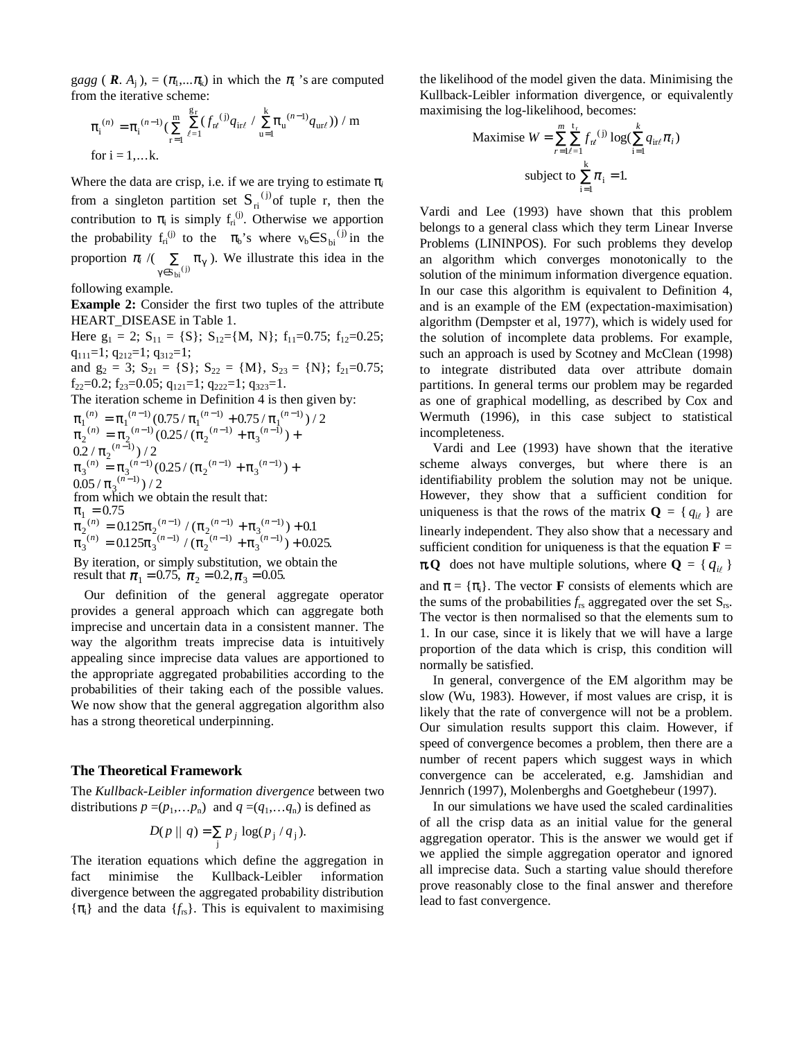gagg (  $\mathbf{R}$ ,  $A_i$ ), = ( $\pi_1$ ,..., $\pi_k$ ) in which the  $\pi_i$  's are computed from the iterative scheme:

$$
\pi_i^{(n)} = \pi_i^{(n-1)} \left( \sum_{r=1}^m \sum_{\ell=1}^{g_r} (f_{r\ell}^{(j)} q_{ir\ell} / \sum_{u=1}^k \pi_u^{(n-1)} q_{ur\ell}) \right) / m
$$
  
for  $i = 1,...k$ .

Where the data are crisp, i.e. if we are trying to estimate  $\pi$ <sub>*i*</sub> from a singleton partition set  $S_{ri}^{(j)}$  of tuple r, then the contribution to  $\pi_i$  is simply  $f_{ri}^{(j)}$ . Otherwise we apportion the probability  $f_{ri}^{(j)}$  to the  $\pi_b$ 's where  $v_b \in S_{bi}^{(j)}$  in the proportion  $\pi_i$  /( $\sum_{\gamma \in S_{\text{bi}}^{(j)}} \pi_{\gamma}$ ∑  $S_{\text{bi}}^{(j)}$ ). We illustrate this idea in the

following example.

**Example 2:** Consider the first two tuples of the attribute HEART\_DISEASE in Table 1.

Here  $g_1 = 2$ ;  $S_{11} = \{S\}$ ;  $S_{12} = \{M, N\}$ ;  $f_{11} = 0.75$ ;  $f_{12} = 0.25$ ;  $q_{111}=1; q_{212}=1; q_{312}=1;$ 

and  $g_2 = 3$ ;  $S_{21} = \{S\}$ ;  $S_{22} = \{M\}$ ,  $S_{23} = \{N\}$ ;  $f_{21} = 0.75$ ;  $f_{22}=0.2; f_{23}=0.05; q_{121}=1; q_{222}=1; q_{323}=1.$ 

The iteration scheme in Definition 4 is then given by:

$$
\pi_1^{(n)} = \pi_1^{(n-1)} (0.75/\pi_1^{(n-1)} + 0.75/\pi_1^{(n-1)})/2
$$
  
\n
$$
\pi_2^{(n)} = \pi_2^{(n-1)} (0.25/\left(\pi_2^{(n-1)} + \pi_3^{(n-1)}\right) +
$$
  
\n
$$
0.2/\pi_2^{(n-1)})/2
$$
  
\n
$$
\pi_3^{(n)} = \pi_3^{(n-1)} (0.25/\left(\pi_2^{(n-1)} + \pi_3^{(n-1)}\right) +
$$
  
\n
$$
0.05/\pi_3^{(n-1)})/2
$$
  
\nfrom which we obtain the result that:  
\n
$$
\pi_1 = 0.75
$$
  
\n
$$
\pi_2^{(n)} = 0.125\pi_2^{(n-1)}/(\pi_2^{(n-1)} + \pi_3^{(n-1)}) + 0.1
$$
  
\n
$$
\pi_3^{(n)} = 0.125\pi_3^{(n-1)}/(\pi_2^{(n-1)} + \pi_3^{(n-1)}) + 0.025.
$$
  
\nBy iteration, or simply substitution, we obtain the result that  $\pi_1 = 0.75$ ,  $\pi_2 = 0.2$ ,  $\pi_3 = 0.05$ .

Our definition of the general aggregate operator provides a general approach which can aggregate both imprecise and uncertain data in a consistent manner. The way the algorithm treats imprecise data is intuitively appealing since imprecise data values are apportioned to the appropriate aggregated probabilities according to the probabilities of their taking each of the possible values. We now show that the general aggregation algorithm also has a strong theoretical underpinning.

#### **The Theoretical Framework**

The *Kullback-Leibler information divergence* between two distributions  $p = (p_1, \ldots, p_n)$  and  $q = (q_1, \ldots, q_n)$  is defined as

$$
D(p \mid q) = \sum_j p_j \log(p_j / q_j).
$$

The iteration equations which define the aggregation in fact minimise the Kullback-Leibler information divergence between the aggregated probability distribution  $\{\pi_i\}$  and the data  $\{f_{rs}\}\$ . This is equivalent to maximising

the likelihood of the model given the data. Minimising the Kullback-Leibler information divergence, or equivalently maximising the log-likelihood, becomes:

Maximise 
$$
W = \sum_{r=1}^{m} \sum_{\ell=1}^{t_r} f_{r\ell}^{(j)} \log(\sum_{i=1}^{k} q_{ir\ell} \pi_i)
$$
  
subject to  $\sum_{i=1}^{k} \pi_i = 1$ .

Vardi and Lee (1993) have shown that this problem belongs to a general class which they term Linear Inverse Problems (LININPOS). For such problems they develop an algorithm which converges monotonically to the solution of the minimum information divergence equation. In our case this algorithm is equivalent to Definition 4, and is an example of the EM (expectation-maximisation) algorithm (Dempster et al, 1977), which is widely used for the solution of incomplete data problems. For example, such an approach is used by Scotney and McClean (1998) to integrate distributed data over attribute domain partitions. In general terms our problem may be regarded as one of graphical modelling, as described by Cox and Wermuth (1996), in this case subject to statistical incompleteness.

Vardi and Lee (1993) have shown that the iterative scheme always converges, but where there is an identifiability problem the solution may not be unique. However, they show that a sufficient condition for uniqueness is that the rows of the matrix  $\mathbf{Q} = \{q_{i\ell}\}\$ are linearly independent. They also show that a necessary and sufficient condition for uniqueness is that the equation **F** *=*  $\pi \mathbf{Q}$  does not have multiple solutions, where  $\mathbf{Q} = \{q_{i\ell}\}\$ and  $\boldsymbol{\pi} = {\pi_i}$ . The vector **F** consists of elements which are the sums of the probabilities  $f_{rs}$  aggregated over the set  $S_{rs}$ . The vector is then normalised so that the elements sum to 1. In our case, since it is likely that we will have a large proportion of the data which is crisp, this condition will normally be satisfied.

In general, convergence of the EM algorithm may be slow (Wu, 1983). However, if most values are crisp, it is likely that the rate of convergence will not be a problem. Our simulation results support this claim. However, if speed of convergence becomes a problem, then there are a number of recent papers which suggest ways in which convergence can be accelerated, e.g. Jamshidian and Jennrich (1997), Molenberghs and Goetghebeur (1997).

In our simulations we have used the scaled cardinalities of all the crisp data as an initial value for the general aggregation operator. This is the answer we would get if we applied the simple aggregation operator and ignored all imprecise data. Such a starting value should therefore prove reasonably close to the final answer and therefore lead to fast convergence.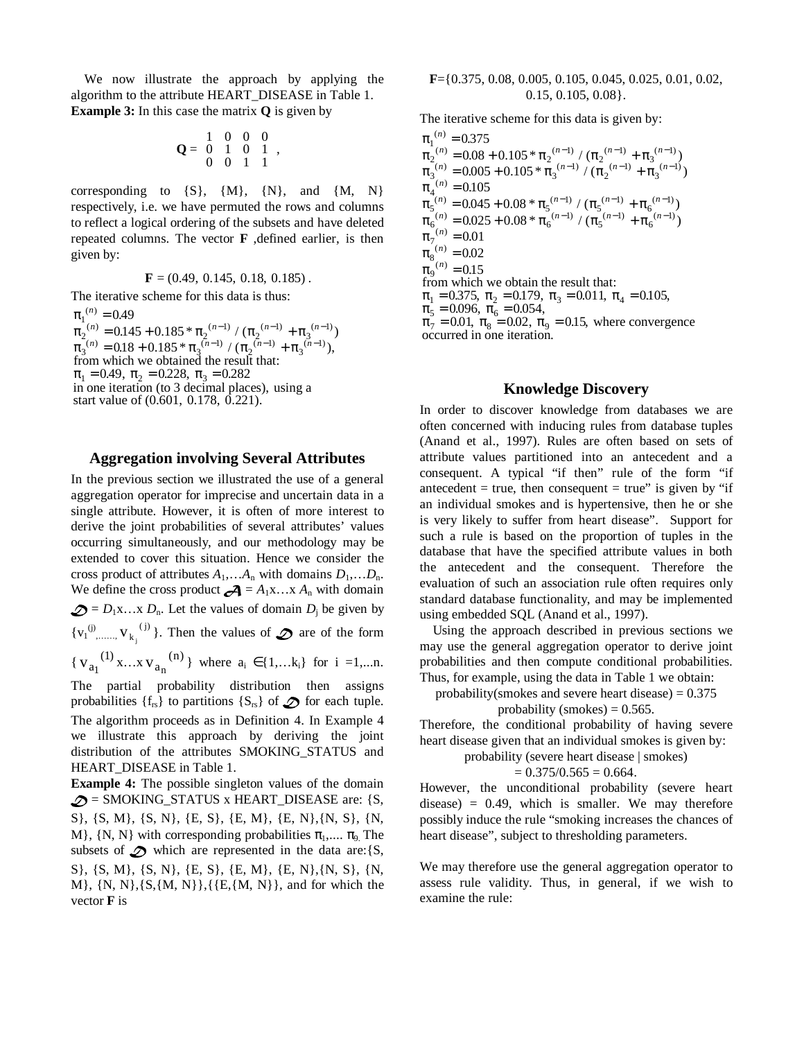We now illustrate the approach by applying the algorithm to the attribute HEART\_DISEASE in Table 1. **Example 3:** In this case the matrix **Q** is given by

$$
\mathbf{Q} = \begin{pmatrix} 1 & 0 & 0 & 0 \\ 0 & 1 & 0 & 1 \\ 0 & 0 & 1 & 1 \end{pmatrix},
$$

corresponding to  $\{S\}$ ,  $\{M\}$ ,  $\{N\}$ , and  $\{M, N\}$ respectively, i.e. we have permuted the rows and columns to reflect a logical ordering of the subsets and have deleted repeated columns. The vector **F** ,defined earlier, is then given by:

 $\mathbf{F} = (0.49, 0.145, 0.18, 0.185)$ .

The iterative scheme for this data is thus:

 $\pi_1^{(n)} = 0.49$  $\pi_2^{(n)} = 0.145 + 0.185 * \pi_2^{(n-1)} / (\pi_2^{(n-1)} + \pi_3^{(n-1)})$  $\pi_3^{(n)} = 0.18 + 0.185 * \pi_3^{(n-1)} / (\pi_2^{(n-1)} + \pi_3^{(n-1)}),$  $\pi_1 = 0.49, \ \pi_2 = 0.228, \ \pi_3 = 0.282$ start value of (0.601, 0.178, 0.221). from which we obtained the result that: in one iteration (to 3 decimal places), using a

### **Aggregation involving Several Attributes**

In the previous section we illustrated the use of a general aggregation operator for imprecise and uncertain data in a single attribute. However, it is often of more interest to derive the joint probabilities of several attributes' values occurring simultaneously, and our methodology may be extended to cover this situation. Hence we consider the cross product of attributes  $A_1$ ,… $A_n$  with domains  $D_1$ ,… $D_n$ . We define the cross product  $\mathcal{A} = A_1x \dots x A_n$  with domain  $\mathcal{D} = D_1x$ …x  $D_n$ . Let the values of domain  $D_i$  be given by  ${v_1}^{(j)}, \ldots, v_{k_i}^{(j)}$  $j^{(j)}$ . Then the values of  $\mathcal{D}$  are of the form { $V_{a_1}^{(1)}$  x...x  $V_{a_n}^{(n)}$ } where  $a_i \in \{1,...k_i\}$  for  $i = 1,...n$ . The partial probability distribution then assigns

probabilities  $\{f_{rs}\}\$  to partitions  $\{S_{rs}\}\$  of  $\mathscr D$  for each tuple. The algorithm proceeds as in Definition 4. In Example 4 we illustrate this approach by deriving the joint distribution of the attributes SMOKING\_STATUS and HEART\_DISEASE in Table 1.

**Example 4:** The possible singleton values of the domain  $\mathcal{D}$  = SMOKING\_STATUS x HEART\_DISEASE are: {S, S}, {S, M}, {S, N}, {E, S}, {E, M}, {E, N},{N, S}, {N, M},  $\{N, N\}$  with corresponding probabilities  $\pi_1, \ldots, \pi_q$ . The subsets of  $\mathcal D$  which are represented in the data are: {S, S}, {S, M}, {S, N}, {E, S}, {E, M}, {E, N},{N, S}, {N,  $M$ ,  $\{N, N\}, \{S, \{M, N\}\}, \{E, \{M, N\}\},$  and for which the vector **F** is

#### **F**={0.375, 0.08, 0.005, 0.105, 0.045, 0.025, 0.01, 0.02, 0.15, 0.105, 0.08}.

The iterative scheme for this data is given by:

 $\pi_1^{(n)} = 0.375$  $\pi_2^{(n)} = 0.08 + 0.105 * \pi_2^{(n-1)}/(\pi_2^{(n-1)} + \pi_2^{(n-1)})$  $\pi_2^{(n)} = 0.08 + 0.105 * \pi_2^{(n-1)} / (\pi_2^{(n-1)} + \pi_3^{(n-1)} + \pi_4^{(n-1)} - \pi_5^{(n-1)} + \pi_5^{(n-1)} + \pi_5^{(n-1)} + \pi_6^{(n-1)} + \pi_7^{(n-1)}$  $\pi_4^{(n)} = 0.105$  $\pi_5^{(n)} = 0.045 + 0.08 * \pi_5^{(n-1)}/(\pi_5^{(n-1)} + \pi_5^{(n)})$  $\pi_5^{(n)} = 0.045 + 0.08 * \pi_5^{(n-1)} / (\pi_5^{(n-1)} + \pi_6^{(n-1)} + \pi_6^{(n-1)} - \pi_6^{(n-1)} + \pi_6^{(n-1)} + \pi_6^{(n-1)} + \pi_6^{(n-1)} + \pi_6^{(n-1)} + \pi_6^{(n-1)} + \pi_6^{(n-1)} + \pi_6^{(n-1)} + \pi_6^{(n-1)} + \pi_6^{(n-1)}$  $\pi_7^{(n)} = 0.01$  $\pi_8^{(n)}$  $\begin{array}{l} \sum_{1}^{(n)}=0.08+0.105*\pi_2^{(n-1)}/(\pi_2^{(n-1)}+\pi_3^{(n-1)})\\ \sum_{3}^{(n)}=0.005+0.105*\pi_3^{(n-1)}/(\pi_2^{(n-1)}+\pi_3^{(n-1)}) \end{array}$  $\sigma_5^{(n)} = 0.045 + 0.08 * \pi_5^{(n-1)} / (\pi_5^{(n-1)} + \pi_6^{(n-1)} )$ <br>  $\sigma_{6}^{(n)} = 0.025 + 0.08 * \pi_6^{(n-1)} / (\pi_5^{(n-1)} + \pi_6^{(n-1)} )$ 0.005 0.025 () ( ) ( ) ( )  $(\pi_2^{(n)} = 0.08 + 0.105 * \pi_2^{(n-1)}/(\pi_2^{(n-1)} + \pi_3^{(n-1)})$ <br>(n) = 0.005 + 0.105 \*  $\pi^{(n-1)}/(\pi^{(n-1)} + \pi^{(n-1)})$  $(n)$  – 0.045 + 0.08 \*  $\pi$   $(n-1)$  /  $(\pi$   $(n-1)$  +  $\pi$   $(n-1)$  $\pi_{\text{S}}^{(n)} = 0.045 + 0.08 * \pi_{\text{S}}^{(n-1)} / (\pi_{\text{S}}^{(n-1)} + \pi_{\text{S}}^{(n-1)})$ <br>  $\pi_{\text{S}}^{(n-1)} = 0.025 + 0.08 * \pi_{\text{S}}^{(n-1)} / (\pi_{\text{S}}^{(n-1)} + \pi_{\text{S}}^{(n-1)})$  $.005 + 0.105 * \pi_3^{(n-1)}/(\pi_2^{(n-1)} + \pi_3^{(n-1)})$  $0.025 + 0.08 * \pi_6^{(n-1)}/(\pi_5^{(n-1)} + \pi_6^{(n-1)})$  $(n - n) - n \cdot 0$  no  $n \cdot 105$   $\pi$   $(n-1)$   $(n-1)$   $\pi$   $(n-1)$  $n = 0.08 + 0.105 * \pi_2 \frac{(n-1)}{(n-1)} / (\pi_2 \frac{(n-1)}{(n-1)} + \pi_3 \frac{(n-1)}{(n-1)}$  $(n - n)(15 + n)$   $(8 * \pi (n-1) / (\pi (n-1) + \pi (n$  $n_n = 0.045 + 0.08 * \pi_5 \frac{(n-1)}{(n-1)} / (\pi_5 \frac{(n-1)}{(n-1)} + \pi_6 \frac{(n-1)}{(n-1)}$  $= 0.005 + 0.105 * \pi_3^{(n-1)}/(\pi_2^{(n-1)} +$  $= 0.025 + 0.08 * \pi_6^{(n-1)}/(\pi_5^{(n-1)} +$  $(-1)$  ( $(-1)$  +  $\pi$   $(n-1)$  $0.105 * \pi_2^{(n-1)}/(\pi_2^{(n-1)} + \pi_3^{(n-1)}$ <br>  $0.105 * \pi^{(n-1)}/(\pi^{(n-1)} + \pi^{(n-1)}$  $(-1)$  /  $\pi$   $(n-1)$   $\pi$   $(n-1)$  $0.08 * \pi_5^{(n-1)}/(\pi_5^{(n-1)} + \pi_6^{(n-1)}$ 0.105 \* 0.08 \*  $\binom{n}{n} = 0.$ .  $\pi_1 = 0.375, \ \pi_2 = 0.179, \ \pi_3 = 0.011, \ \pi_4 = 0.105,$  $\pi_5 = 0.096, \pi_6 = 0.054,$  $\pi_7 = 0.01, \pi_8 = 0.02, \pi_9 = 0.15$ , where convergence . occurred in one iteration = =  $0.02$  $\pi_9^{(n)} = 0.15$ from which we obtain the result that:

# **Knowledge Discovery**

In order to discover knowledge from databases we are often concerned with inducing rules from database tuples (Anand et al., 1997). Rules are often based on sets of attribute values partitioned into an antecedent and a consequent. A typical "if then" rule of the form "if antecedent = true, then consequent = true" is given by "if an individual smokes and is hypertensive, then he or she is very likely to suffer from heart disease". Support for such a rule is based on the proportion of tuples in the database that have the specified attribute values in both the antecedent and the consequent. Therefore the evaluation of such an association rule often requires only standard database functionality, and may be implemented using embedded SQL (Anand et al., 1997).

Using the approach described in previous sections we may use the general aggregation operator to derive joint probabilities and then compute conditional probabilities. Thus, for example, using the data in Table 1 we obtain:

probability(smokes and severe heart disease)  $= 0.375$ 

# probability (smokes)  $= 0.565$ .

Therefore, the conditional probability of having severe heart disease given that an individual smokes is given by:

probability (severe heart disease | smokers)  
= 
$$
0.375/0.565 = 0.664
$$
.

However, the unconditional probability (severe heart  $disease) = 0.49$ , which is smaller. We may therefore possibly induce the rule "smoking increases the chances of heart disease", subject to thresholding parameters.

We may therefore use the general aggregation operator to assess rule validity. Thus, in general, if we wish to examine the rule: